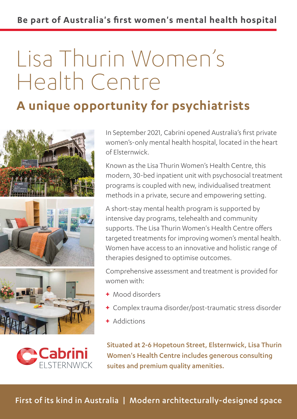# Lisa Thurin Women's Health Centre

## **A unique opportunity for psychiatrists**





In September 2021, Cabrini opened Australia's first private women's-only mental health hospital, located in the heart of Elsternwick.

Known as the Lisa Thurin Women's Health Centre, this modern, 30-bed inpatient unit with psychosocial treatment programs is coupled with new, individualised treatment methods in a private, secure and empowering setting.

A short-stay mental health program is supported by intensive day programs, telehealth and community supports. The Lisa Thurin Women's Health Centre offers targeted treatments for improving women's mental health. Women have access to an innovative and holistic range of therapies designed to optimise outcomes.

Comprehensive assessment and treatment is provided for women with:

- **+** Mood disorders
- **+** Complex trauma disorder/post-traumatic stress disorder
- **+** Addictions

Situated at 2-6 Hopetoun Street, Elsternwick, Lisa Thurin Women's Health Centre includes generous consulting suites and premium quality amenities.